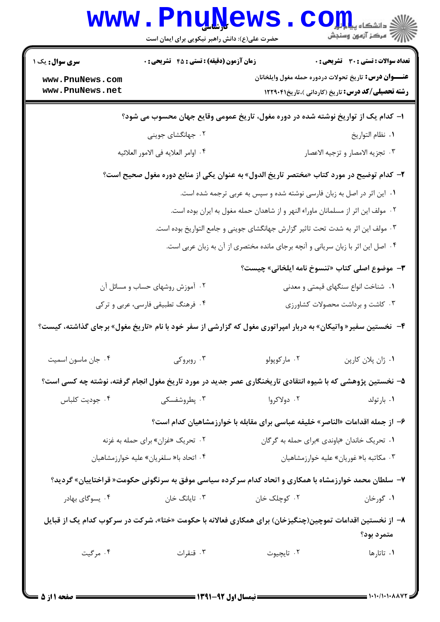| <b>WWW .</b>                       | <b>Lunivems</b><br>حضرت علی(ع): دانش راهبر نیکویی برای ایمان است                  |                                                                                                                 | دانشکاه پ <b>یا ب<mark>ا بار</mark> ک</b><br>رِ آھرڪز آزمون وسنڊش                                                       |  |
|------------------------------------|-----------------------------------------------------------------------------------|-----------------------------------------------------------------------------------------------------------------|-------------------------------------------------------------------------------------------------------------------------|--|
| <b>سری سوال :</b> یک ۱             | <b>زمان آزمون (دقیقه) : تستی : 45 تشریحی : 0</b>                                  |                                                                                                                 | <b>تعداد سوالات : تستی : 30 ٪ تشریحی : 0</b>                                                                            |  |
| www.PnuNews.com<br>www.PnuNews.net |                                                                                   |                                                                                                                 | <b>عنـــوان درس:</b> تاریخ تحولات دردوره حمله مغول وایلخانان<br><b>رشته تحصیلی/کد درس:</b> تاریخ (کاردانی )،تاریخ۲۲۹۰۴۱ |  |
|                                    |                                                                                   | ا– کدام یک از تواریخ نوشته شده در دوره مغول، تاریخ عمومی وقایع جهان محسوب می شود؟                               |                                                                                                                         |  |
|                                    | ۰۲ جهانگشای جوینی                                                                 |                                                                                                                 | ٠١ نظام التواريخ                                                                                                        |  |
|                                    | ۰۴ اوامر العلايه في الامور العلائيه                                               |                                                                                                                 | ۰۳ تجزيه الامصار و تزجيه الاعصار                                                                                        |  |
|                                    |                                                                                   | ۲–  کدام توضیح در مورد کتاب «مختصر تاریخ الدول» به عنوان یکی از منابع دوره مغول صحیح است؟                       |                                                                                                                         |  |
|                                    |                                                                                   | ۱. این اثر در اصل به زبان فارسی نوشته شده و سپس به عربی ترجمه شده است.                                          |                                                                                                                         |  |
|                                    | ۰۲ مولف این اثر از مسلمانان ماوراء النهر و از شاهدان حمله مغول به ایران بوده است. |                                                                                                                 |                                                                                                                         |  |
|                                    | ۰۳ مولف این اثر به شدت تحت تاثیر گزارش جهانگشای جوینی و جامع التواریخ بوده است.   |                                                                                                                 |                                                                                                                         |  |
|                                    |                                                                                   | ۰۴ اصل این اثر با زبان سریانی و آنچه برجای مانده مختصری از آن به زبان عربی است.                                 |                                                                                                                         |  |
|                                    |                                                                                   | ٣-  موضوع اصلي كتاب «تنسوخ نامه ايلخاني» چيست؟                                                                  |                                                                                                                         |  |
|                                    | ۰۲ آموزش روشهای حساب و مسائل آن                                                   |                                                                                                                 | ۰۱ شناخت انواع سنگهای قیمتی و معدنی                                                                                     |  |
|                                    | ۰۴ فرهنگ تطبیقی فارسی، عربی و ترکی<br>۰۳ کاشت و برداشت محصولات کشاورزی            |                                                                                                                 |                                                                                                                         |  |
|                                    |                                                                                   | ۴-  نخستین سفیر « واتیکان» به دربار امپراتوری مغول که گزارشی از سفر خود با نام «تاریخ مغول» برجای گذاشته، کیست؟ |                                                                                                                         |  |
| ۰۴ جان ماسون اسميت                 | ۰۳ روبروکی                                                                        | ۰۲ مارکوپولو                                                                                                    | ٠١ ژان پلان كارپن                                                                                                       |  |
|                                    |                                                                                   | ۵– نخستین پژوهشی که با شیوه انتقادی تاریخنگاری عصر جدید در مورد تاریخ مغول انجام گرفته، نوشته چه کسی است؟       |                                                                                                                         |  |
| ۰۴ جوديت كلباس                     | ۰۳ پطروشفسکی                                                                      | ۰۲ دولاکروا                                                                                                     | ۰۱ بارتولد                                                                                                              |  |
|                                    |                                                                                   | ۶– از جمله اقدامات «الناصر» خلیفه عباسی برای مقابله با خوارزمشاهیان کدام است؟                                   |                                                                                                                         |  |
|                                    | ۰۲ تحریک «غزان» برای حمله به غزنه                                                 | ۰۱ تحریک خاندان «باوندی »برای حمله به گرگان                                                                     |                                                                                                                         |  |
|                                    | ۰۴ اتحاد با« سلغريان» عليه خوارزمشاهيان                                           |                                                                                                                 | ۰۳ مکاتبه با« غوریان» علیه خوارزمشاهیان                                                                                 |  |
|                                    |                                                                                   | ۷–  سلطان محمد خوارزمشاه با همکاری و اتحاد کدام سرکرده سیاسی موفق به سرنگونی حکومت« قراختاییان» گردید؟          |                                                                                                                         |  |
| ۰۴ يسوگاي بهادر                    | ۰۳ تایانگ خان                                                                     | ۰۲ کوچلک خان                                                                                                    | ۰۱ گورخان                                                                                                               |  |
|                                    |                                                                                   | ۸–  از نخستین اقدامات تموچین(چنگیزخان) برای همکاری فعالانه با حکومت «ختا»، شرکت در سرکوب کدام یک از قبایل       | متمرد بود؟                                                                                                              |  |
| ۰۴ مرگیت                           | ۰۳ قنقرات                                                                         | ۰۲ تايچيوت                                                                                                      | ۰۱ تاتارها                                                                                                              |  |
|                                    |                                                                                   |                                                                                                                 |                                                                                                                         |  |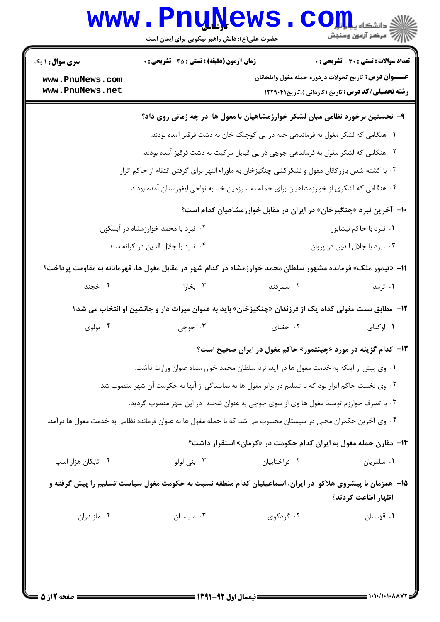# Www.PnuNews.com

| <b>سری سوال : ۱ یک</b>             | <b>زمان آزمون (دقیقه) : تستی : 45 قشریحی : 0</b>                                                               |               | <b>تعداد سوالات : تستی : 30 ٪ تشریحی : 0</b>                       |
|------------------------------------|----------------------------------------------------------------------------------------------------------------|---------------|--------------------------------------------------------------------|
| www.PnuNews.com<br>www.PnuNews.net |                                                                                                                |               | <b>عنـــوان درس:</b> تاريخ تحولات دردوره حمله مغول وايلخانان       |
|                                    |                                                                                                                |               | <b>رشته تحصیلی/کد درس:</b> تاریخ (کاردانی )،تاریخ۱۲۲۹۰۴۱           |
|                                    | ۹- نخستین برخورد نظامی میان لشکر خوارزمشاهیان با مغول ها در چه زمانی روی داد؟                                  |               |                                                                    |
|                                    | <b>۱.</b> هنگامی که لشکر مغول به فرماندهی جبه در پی کوچلک خان به دشت قرقیز آمده بودند.                         |               |                                                                    |
|                                    | ۰۲ هنگامی که لشکر مغول به فرماندهی جوچی در پی قبایل مرکیت به دشت قرقیز آمده بودند.                             |               |                                                                    |
|                                    | ۰۳ با کشته شدن بازرگانان مغول و لشکرکشی چنگیزخان به ماوراء النهر برای گرفتن انتقام از حاکم اترار               |               |                                                                    |
|                                    | ۰۴ هنگامی که لشکری از خوارزمشاهیان برای حمله به سرزمین ختا به نواحی ایغورستان آمده بودند.                      |               |                                                                    |
|                                    |                                                                                                                |               | ∙ا− آخرین نبرد «چنگیزخان» در ایران در مقابل خوارزمشاهیان کدام است؟ |
|                                    | ۰۲ نبرد با محمد خوارزمشاه در آبسکون                                                                            |               | ۰۱ نبرد با حاکم نیشابور                                            |
|                                    | ۰۴ نبرد با جلال الدین در کرانه سند                                                                             |               | ۰۳ نبرد با جلال الدين در پروان                                     |
|                                    | 11– «تیمور ملک» فرمانده مشهور سلطان محمد خوارزمشاه در کدام شهر در مقابل مغول ها، قهرمانانه به مقاومت پرداخت؟   |               |                                                                    |
| ۰۴ خجند                            | ۰۳ بخارا                                                                                                       | ۰۲ سمرقند     | ۰۱ ترمذ                                                            |
|                                    | ۱۲-  مطابق سنت مغولی کدام یک از فرزندان «چنگیزخان» باید به عنوان میراث دار و جانشین او انتخاب می شد؟           |               |                                                                    |
| ۰۴ تولوی                           | ۰۳ جوچی                                                                                                        | ۰۲ جغتای      | ۰۱ اوکتای                                                          |
|                                    |                                                                                                                |               | ۱۳- کدام گزینه در مورد «چینتمور» حاکم مغول در ایران صحیح است؟      |
|                                    | ۰۱ وی پیش از اینکه به خدمت مغول ها در آید، نزد سلطان محمد خوارزمشاه عنوان وزارت داشت.                          |               |                                                                    |
|                                    | ۰۲ وی نخست حاکم اترار بود که با تسلیم در برابر مغول ها به نمایندگی از آنها به حکومت آن شهر منصوب شد.           |               |                                                                    |
|                                    | ۰۳ با تصرف خوارزم توسط مغول ها وی از سوی جوچی به عنوان شحنه  در این شهر منصوب گردید.                           |               |                                                                    |
|                                    | ۰۴ وی آخرین حکمران محلی در سیستان محسوب می شد که با حمله مغول ها به عنوان فرمانده نظامی به خدمت مغول ها درآمد. |               |                                                                    |
|                                    |                                                                                                                |               | ۰۱۴ مقارن حمله مغول به ایران کدام حکومت در «کرمان» استقرار داشت؟   |
| ۰۴ اتابکان هزار اسپ                | ۰۳ بنی لولو                                                                                                    | ۰۲ قراختاییان | ۰۱ سلغريان                                                         |
|                                    | ۱۵– همزمان با پیشروی هلاکو در ایران، اسماعیلیان کدام منطقه نسبت به حکومت مغول سیاست تسلیم را پیش گرفته و       |               | اظهار اطاعت كردند؟                                                 |
| ۰۴ مازندران                        | $\cdot$ ۳ سیستان                                                                                               | ۰۲ گردکوی     | ۰۱ قهستان                                                          |
|                                    |                                                                                                                |               |                                                                    |
|                                    |                                                                                                                |               |                                                                    |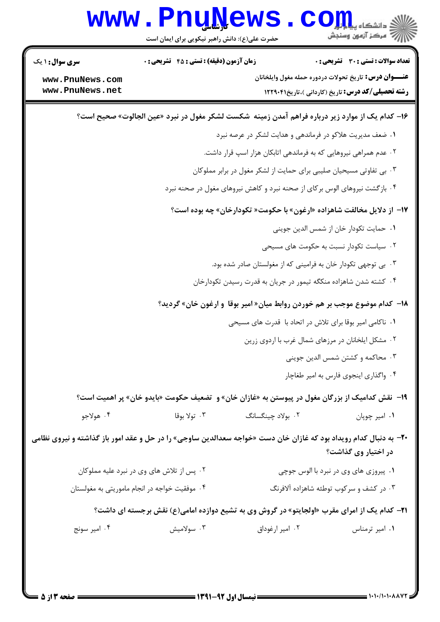|                                                                                                                   | www.PnuNews<br>حضرت علی(ع): دانش راهبر نیکویی برای ایمان است |                   | ی دانشگاه پیام <mark>بر</mark><br>از مرکز آزمون وسنجش                                                                                                                                |
|-------------------------------------------------------------------------------------------------------------------|--------------------------------------------------------------|-------------------|--------------------------------------------------------------------------------------------------------------------------------------------------------------------------------------|
| <b>سری سوال : ۱ یک</b><br>www.PnuNews.com<br>www.PnuNews.net                                                      | <b>زمان آزمون (دقیقه) : تستی : 45 گشریحی : 0</b>             |                   | <b>تعداد سوالات : تستی : 30 ٪ تشریحی : 0</b><br><b>عنـــوان درس:</b> تاریخ تحولات دردوره حمله مغول وایلخانان<br><b>رشته تحصیلی/کد درس:</b> تاریخ (کاردانی )،تاریخ۲۲۹۰۴۱ <b>۱۲</b> ۲۹ |
|                                                                                                                   |                                                              |                   | ۱۶– کدام یک از موارد زیر درباره فراهم آمدن زمینه  شکست لشکر مغول در نبرد «عین الجالوت» صحیح است؟                                                                                     |
|                                                                                                                   |                                                              |                   | ۰۱ ضعف مدیریت هلاکو در فرماندهی و هدایت لشکر در عرصه نبرد                                                                                                                            |
|                                                                                                                   |                                                              |                   | ۰۲ عدم همراهی نیروهایی که به فرماندهی اتابکان هزار اسپ قرار داشت.                                                                                                                    |
|                                                                                                                   |                                                              |                   | ۰۳ بی تفاوتی مسیحیان صلیبی برای حمایت از لشکر مغول در برابر مملوکان                                                                                                                  |
|                                                                                                                   |                                                              |                   | ۰۴ بازگشت نیروهای الوس برکای از صحنه نبرد و کاهش نیروهای مغول در صحنه نبرد                                                                                                           |
|                                                                                                                   |                                                              |                   | ۱۷- از دلایل مخالفت شاهزاده «ارغون» با حکومت« تکودارخان» چه بوده است؟                                                                                                                |
|                                                                                                                   |                                                              |                   | ٠١. حمايت تكودار خان از شمس الدين جويني                                                                                                                                              |
|                                                                                                                   |                                                              |                   | ۰۲ سیاست تکودار نسبت به حکومت های مسی <i>ح</i> ی                                                                                                                                     |
|                                                                                                                   |                                                              |                   | ۰۳ بی توجهی تکودار خان به فرامینی که از مغولستان صادر شده بود.                                                                                                                       |
|                                                                                                                   |                                                              |                   | ۰۴ کشته شدن شاهزاده منکگه تیمور در جریان به قدرت رسیدن تکودارخان                                                                                                                     |
|                                                                                                                   |                                                              |                   | ۱۸– کدام موضوع موجب بر هم خوردن روابط میان« امیر بوقا ً و ارغون خان» گردید؟                                                                                                          |
|                                                                                                                   |                                                              |                   | ۰۱ ناکامی امیر بوقا برای تلاش در اتحاد با قدرت های مسیحی                                                                                                                             |
|                                                                                                                   |                                                              |                   | ۰۲ مشکل ایلخانان در مرزهای شمال غرب با اردوی زرین                                                                                                                                    |
|                                                                                                                   |                                                              |                   | ۰۳ محاکمه و کشتن شمس الدین جوینی                                                                                                                                                     |
|                                                                                                                   |                                                              |                   | ۰۴ واگذاری اینجوی فارس به امیر طغاچار                                                                                                                                                |
|                                                                                                                   |                                                              |                   | ۱۹- نقش کدامیک از بزرگان مغول در پیوستن به «غازان خان» و  تضعیف حکومت «بایدو خان» پر اهمیت است؟                                                                                      |
| ۰۴ هولاجو                                                                                                         | ۰۳ تولا بوقا                                                 | ۰۲ بولاد چينگسانگ | ٠١ امير چوپان                                                                                                                                                                        |
| -۲- به دنبال کدام رویداد بود که غازان خان دست «خواجه سعدالدین ساوجی» را در حل و عقد امور باز گذاشته و نیروی نظامی |                                                              |                   | در اختیار وی گذاشت؟                                                                                                                                                                  |
|                                                                                                                   | ۰۲ پس از تلاش های وی در نبرد علیه مملوکان                    |                   | ۰۱ پیروزی های وی در نبرد با الوس جوچی                                                                                                                                                |
|                                                                                                                   | ۰۴ موفقیت خواجه در انجام ماموریتی به مغولستان                |                   | ۰۳ در کشف و سرکوب توطئه شاهزاده آلافرنگ                                                                                                                                              |
|                                                                                                                   |                                                              |                   | <b>۲۱</b> - کدام یک از امرای مقرب «اولجایتو» در گروش وی به تشیع دوازده امامی(ع) نقش برجسته ای داشت؟                                                                                  |
| ۰۴ امیر سونج                                                                                                      | ۰۳ سولاميش                                                   | ۰۲ امیر ارغوداق   | ۰۱ امیر ترمناس                                                                                                                                                                       |
|                                                                                                                   |                                                              |                   |                                                                                                                                                                                      |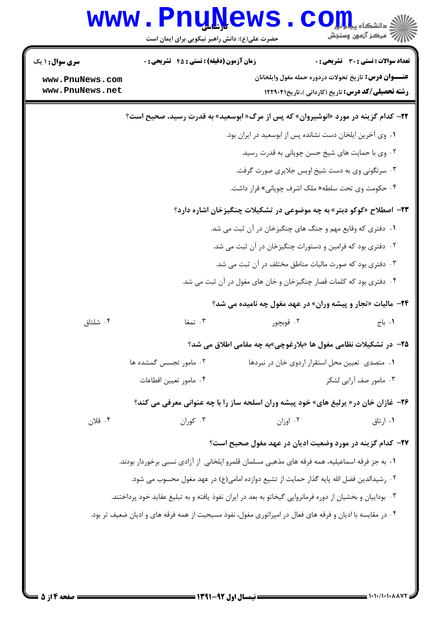| <b>سری سوال :</b> ۱ یک | <b>زمان آزمون (دقیقه) : تستی : 45 گشریحی : 0</b>                                                          |                                                                     | <b>تعداد سوالات : تستی : 30 ٪ تشریحی : 0</b> |
|------------------------|-----------------------------------------------------------------------------------------------------------|---------------------------------------------------------------------|----------------------------------------------|
| www.PnuNews.com        |                                                                                                           | <b>عنـــوان درس:</b> تاریخ تحولات دردوره حمله مغول وایلخانان        |                                              |
| www.PnuNews.net        |                                                                                                           | <b>رشته تحصیلی/کد درس:</b> تاریخ (کاردانی )،تاریخ۲۲۹۰۴۱ <b>۱۲</b>   |                                              |
|                        | <b>۲۲</b> - کدام گزینه در مورد «انوشیروان» که پس از مرگ« ابوسعید» به قدرت رسید، صحیح است؟                 |                                                                     |                                              |
|                        |                                                                                                           | ٠١. وى آخرين ايلخان دست نشانده پس از ابوسعيد در ايران بود.          |                                              |
|                        |                                                                                                           | ۰۲ وی با حمایت های شیخ حسن چوپانی به قدرت رسید.                     |                                              |
|                        |                                                                                                           | ۰۳ سرنگونی وی به دست شیخ اویس جلایری صورت گرفت.                     |                                              |
|                        |                                                                                                           | ۰۴ حکومت وی تحت سلطه« ملک اشرف چوپانی» قرار داشت.                   |                                              |
|                        | <b>۲۳</b> – اصطلاح «کوکو دبتر» به چه موضوعی در تشکیلات چنگیزخان اشاره دارد؟                               |                                                                     |                                              |
|                        |                                                                                                           | ۰۱ دفتری که وقایع مهم و جنگ های چنگیزخان در آن ثبت می شد.           |                                              |
|                        |                                                                                                           | ۰۲ دفتری بود که فرامین و دستورات چنگیزخان در آن ثبت می شد.          |                                              |
|                        |                                                                                                           | ۰۳ دفتری بود که صورت مالیات مناطق مختلف در آن ثبت می شد.            |                                              |
|                        |                                                                                                           | ۰۴ دفتری بود که کلمات قصار چنگیزخان و خان های مغول در آن ثبت می شد. |                                              |
|                        |                                                                                                           | <b>3۴</b> - مالیات «تجار و پیشه وران» در عهد مغول چه نامیده می شد؟  |                                              |
| ۰۴ شلتاق               | ۰۳ تمغا                                                                                                   | ۰۲ قوبچور                                                           | ۰۱ باج                                       |
|                        |                                                                                                           | ۲۵− در تشکیلات نظامی مغول ها «بلارغوچی»به چه مقامی اطلاق می شد؟     |                                              |
|                        | ۰۲ مامور تجسس گمشده ها                                                                                    | ۰۱ متصدی تعیین محل استقرار اردوی خان در نبردها                      |                                              |
|                        | ۰۴ مامور تعيين اقطاعات                                                                                    |                                                                     | ۰۳ مامور صف آرایی لشکر                       |
|                        | <b>۲۶</b> - غازان خان در« پرلیغ های» خود پیشه وران اسلحه ساز را با چه عنوانی معرفی می کند؟                |                                                                     |                                              |
| ۰۴ قلان                | ۰۳ کوران                                                                                                  | ۰۲ اوزان                                                            | ۰۱ ارتاق                                     |
|                        |                                                                                                           | ۲۷– کدام گزینه در مورد وضعیت ادیان در عهد مغول صحیح است؟            |                                              |
|                        | ۱. به جز فرقه اسماعیلیه، همه فرقه های مذهبی مسلمان قلمرو ایلخانی از آزادی نسبی برخوردار بودند.            |                                                                     |                                              |
|                        | ٢ . رشيدالدين فضل الله پايه گذار حمايت از تشيع دوازده امامي(ع) در عهد مغول محسوب مي شود.                  |                                                                     |                                              |
|                        | ۰۳ بوداییان و بخشیان از دوره فرمانروایی گیخاتو به بعد در ایران نفوذ یافته و به تبلیغ عقاید خود پرداختند.  |                                                                     |                                              |
|                        | ۰۴ در مقایسه با ادیان و فرقه های فعال در امپراتوری مغول، نفوذ مسیحیت از همه فرقه های و ادیان ضعیف تر بود. |                                                                     |                                              |